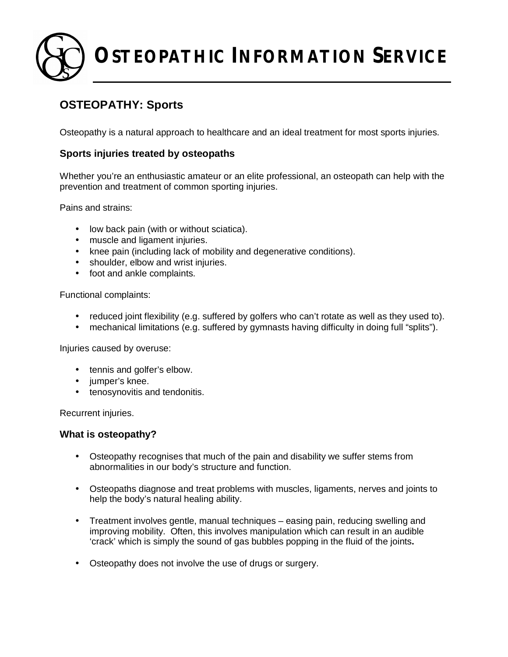**OSTEOPATHIC INFORMATION SERVICE**

# **OSTEOPATHY: Sports**

Osteopathy is a natural approach to healthcare and an ideal treatment for most sports injuries.

# **Sports injuries treated by osteopaths**

Whether you're an enthusiastic amateur or an elite professional, an osteopath can help with the prevention and treatment of common sporting injuries.

Pains and strains:

- low back pain (with or without sciatica).
- muscle and ligament injuries.
- knee pain (including lack of mobility and degenerative conditions).
- shoulder, elbow and wrist injuries.
- foot and ankle complaints.

Functional complaints:

- reduced joint flexibility (e.g. suffered by golfers who can't rotate as well as they used to).
- mechanical limitations (e.g. suffered by gymnasts having difficulty in doing full "splits").

Injuries caused by overuse:

- tennis and golfer's elbow.
- jumper's knee.
- tenosynovitis and tendonitis.

Recurrent injuries.

#### **What is osteopathy?**

- Osteopathy recognises that much of the pain and disability we suffer stems from abnormalities in our body's structure and function.
- Osteopaths diagnose and treat problems with muscles, ligaments, nerves and joints to help the body's natural healing ability.
- Treatment involves gentle, manual techniques easing pain, reducing swelling and improving mobility. Often, this involves manipulation which can result in an audible 'crack' which is simply the sound of gas bubbles popping in the fluid of the joints**.**
- Osteopathy does not involve the use of drugs or surgery.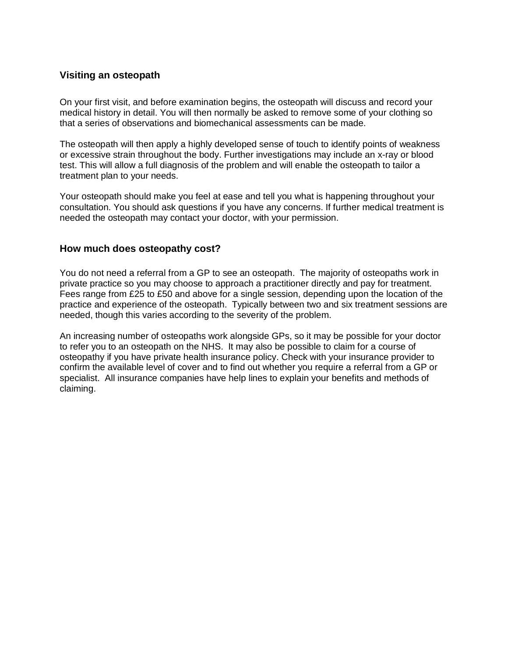### **Visiting an osteopath**

On your first visit, and before examination begins, the osteopath will discuss and record your medical history in detail. You will then normally be asked to remove some of your clothing so that a series of observations and biomechanical assessments can be made.

The osteopath will then apply a highly developed sense of touch to identify points of weakness or excessive strain throughout the body. Further investigations may include an x-ray or blood test. This will allow a full diagnosis of the problem and will enable the osteopath to tailor a treatment plan to your needs.

Your osteopath should make you feel at ease and tell you what is happening throughout your consultation. You should ask questions if you have any concerns. If further medical treatment is needed the osteopath may contact your doctor, with your permission.

#### **How much does osteopathy cost?**

You do not need a referral from a GP to see an osteopath. The majority of osteopaths work in private practice so you may choose to approach a practitioner directly and pay for treatment. Fees range from £25 to £50 and above for a single session, depending upon the location of the practice and experience of the osteopath. Typically between two and six treatment sessions are needed, though this varies according to the severity of the problem.

An increasing number of osteopaths work alongside GPs, so it may be possible for your doctor to refer you to an osteopath on the NHS. It may also be possible to claim for a course of osteopathy if you have private health insurance policy. Check with your insurance provider to confirm the available level of cover and to find out whether you require a referral from a GP or specialist. All insurance companies have help lines to explain your benefits and methods of claiming.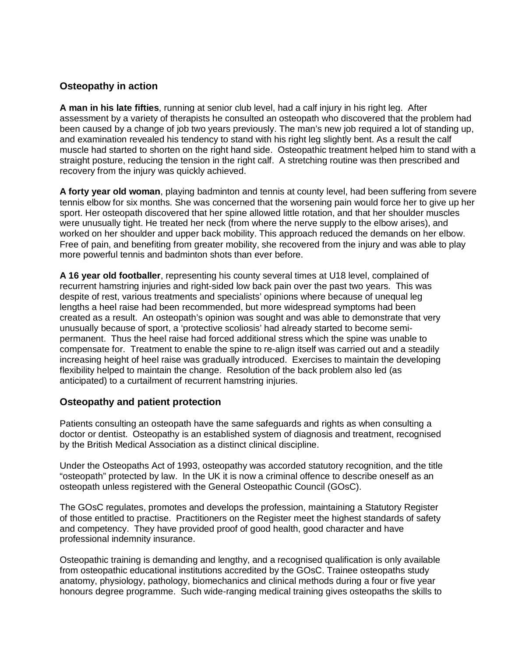# **Osteopathy in action**

**A man in his late fifties**, running at senior club level, had a calf injury in his right leg. After assessment by a variety of therapists he consulted an osteopath who discovered that the problem had been caused by a change of job two years previously. The man's new job required a lot of standing up, and examination revealed his tendency to stand with his right leg slightly bent. As a result the calf muscle had started to shorten on the right hand side. Osteopathic treatment helped him to stand with a straight posture, reducing the tension in the right calf. A stretching routine was then prescribed and recovery from the injury was quickly achieved.

**A forty year old woman**, playing badminton and tennis at county level, had been suffering from severe tennis elbow for six months. She was concerned that the worsening pain would force her to give up her sport. Her osteopath discovered that her spine allowed little rotation, and that her shoulder muscles were unusually tight. He treated her neck (from where the nerve supply to the elbow arises), and worked on her shoulder and upper back mobility. This approach reduced the demands on her elbow. Free of pain, and benefiting from greater mobility, she recovered from the injury and was able to play more powerful tennis and badminton shots than ever before.

**A 16 year old footballer**, representing his county several times at U18 level, complained of recurrent hamstring injuries and right-sided low back pain over the past two years. This was despite of rest, various treatments and specialists' opinions where because of unequal leg lengths a heel raise had been recommended, but more widespread symptoms had been created as a result. An osteopath's opinion was sought and was able to demonstrate that very unusually because of sport, a 'protective scoliosis' had already started to become semipermanent. Thus the heel raise had forced additional stress which the spine was unable to compensate for. Treatment to enable the spine to re-align itself was carried out and a steadily increasing height of heel raise was gradually introduced. Exercises to maintain the developing flexibility helped to maintain the change. Resolution of the back problem also led (as anticipated) to a curtailment of recurrent hamstring injuries.

#### **Osteopathy and patient protection**

Patients consulting an osteopath have the same safeguards and rights as when consulting a doctor or dentist. Osteopathy is an established system of diagnosis and treatment, recognised by the British Medical Association as a distinct clinical discipline.

Under the Osteopaths Act of 1993, osteopathy was accorded statutory recognition, and the title "osteopath" protected by law. In the UK it is now a criminal offence to describe oneself as an osteopath unless registered with the General Osteopathic Council (GOsC).

The GOsC regulates, promotes and develops the profession, maintaining a Statutory Register of those entitled to practise. Practitioners on the Register meet the highest standards of safety and competency. They have provided proof of good health, good character and have professional indemnity insurance.

Osteopathic training is demanding and lengthy, and a recognised qualification is only available from osteopathic educational institutions accredited by the GOsC. Trainee osteopaths study anatomy, physiology, pathology, biomechanics and clinical methods during a four or five year honours degree programme. Such wide-ranging medical training gives osteopaths the skills to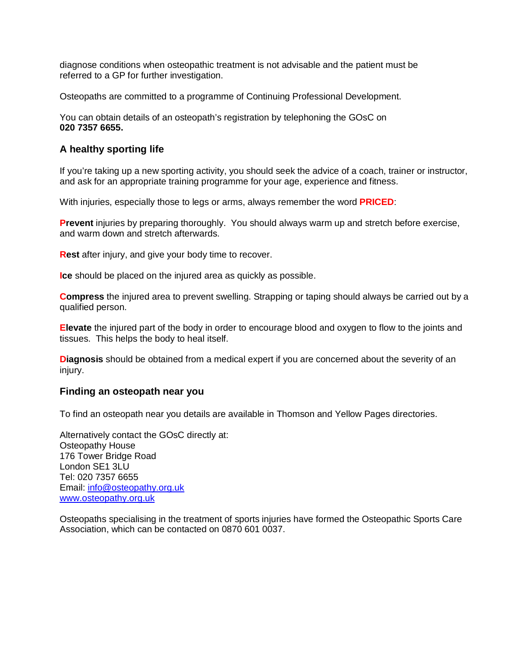diagnose conditions when osteopathic treatment is not advisable and the patient must be referred to a GP for further investigation.

Osteopaths are committed to a programme of Continuing Professional Development.

You can obtain details of an osteopath's registration by telephoning the GOsC on **020 7357 6655.**

# **A healthy sporting life**

If you're taking up a new sporting activity, you should seek the advice of a coach, trainer or instructor, and ask for an appropriate training programme for your age, experience and fitness.

With injuries, especially those to legs or arms, always remember the word **PRICED**:

**Prevent** injuries by preparing thoroughly. You should always warm up and stretch before exercise, and warm down and stretch afterwards.

**Rest** after injury, and give your body time to recover.

**Ice** should be placed on the injured area as quickly as possible.

**Compress** the injured area to prevent swelling. Strapping or taping should always be carried out by a qualified person.

**Elevate** the injured part of the body in order to encourage blood and oxygen to flow to the joints and tissues. This helps the body to heal itself.

**Diagnosis** should be obtained from a medical expert if you are concerned about the severity of an injury.

#### **Finding an osteopath near you**

To find an osteopath near you details are available in Thomson and Yellow Pages directories.

Alternatively contact the GOsC directly at: Osteopathy House 176 Tower Bridge Road London SE1 3LU Tel: 020 7357 6655 Email: [info@osteopathy.org.uk](mailto:info@osteopathy.org.uk) [www.osteopathy.org.uk](http://www.osteopathy.org.uk)

Osteopaths specialising in the treatment of sports injuries have formed the Osteopathic Sports Care Association, which can be contacted on 0870 601 0037.